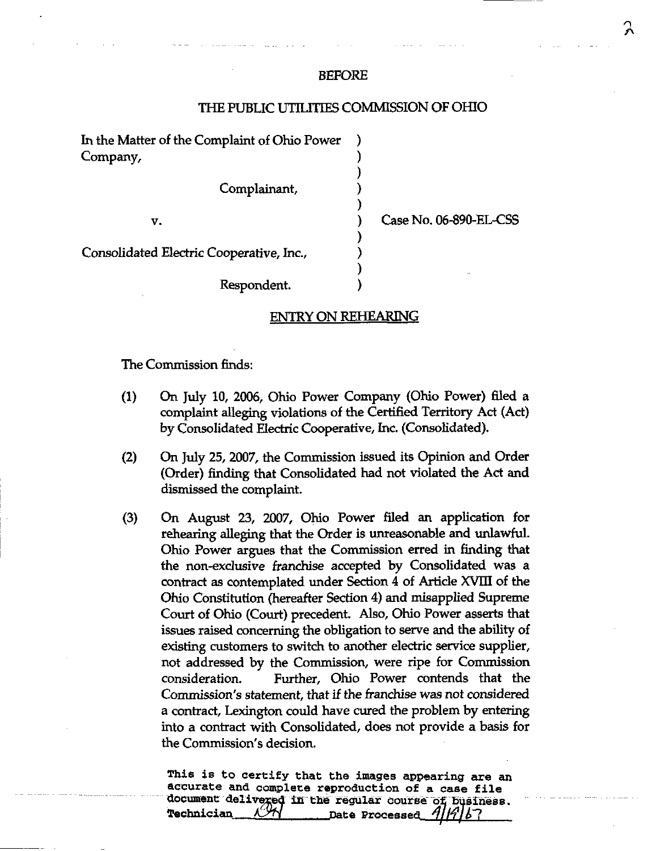## BEFORE

## THE PUBLIC UTILITIES COMMISSION OF OHIO

| In the Matter of the Complaint of Ohio Power<br>Company, |                        |
|----------------------------------------------------------|------------------------|
| Complainant,                                             |                        |
| v.                                                       | Case No. 06-890-EL-CSS |
| Consolidated Electric Cooperative, Inc.,                 |                        |
| Respondent.                                              |                        |

## ENTRY ON REHEARING

The Commission finds:

- (1) On July 10, 2006, Ohio Power Company (Ohio Power) filed a complaint alleging violations of the Certified Territory Act (Act) by Consolidated Electric Cooperative, Inc. (Consolidated).
- (2) On July 25, 2007, the Commission issued its Opinion and Order (Order) finding that Consolidated had not violated the Act and dismissed the complaint.
- (3) On August 23, 2007, Ohio Power filed an application for rehearing alleging that the Order is unreasonable and unlawful. Ohio Power argues that the Commission erred in finding that the non-exclusive franchise accepted by Consolidated was a contract as contemplated under Section 4 of Article XVIII of the Ohio Constitution (hereafter Section 4) and misapplied Supreme Court of Ohio (Court) precedent. Also, Ohio Power asserts that issues raised concerning the obligation to serve and the ability of existing customers to switch to another electric service supplier, not addressed by the Commission, were ripe for Commission consideration. Further, Ohio Power contends that the Commission's statement, that if the franchise was not considered a contract, Lexington could have cured the problem by entering into a contract with Consolidated, does not provide a basis for the Commission's dedsion.

This is to certify that the images appearing are an accurate and complete reproduction of a case file document delivered in the regular course of Business. **Technician**  $\mathcal{L}^{\mathcal{H}}$  pate Processed